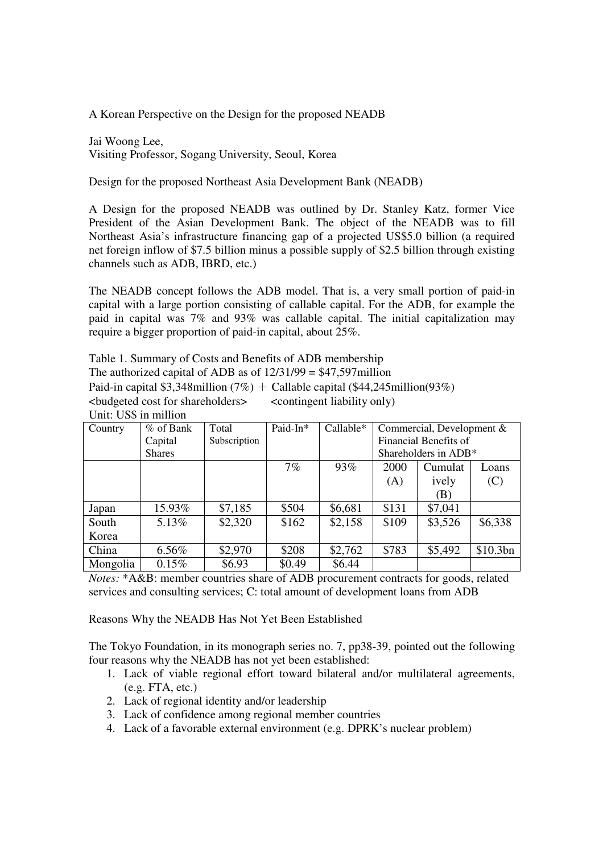A Korean Perspective on the Design for the proposed NEADB

Jai Woong Lee, Visiting Professor, Sogang University, Seoul, Korea

Design for the proposed Northeast Asia Development Bank (NEADB)

A Design for the proposed NEADB was outlined by Dr. Stanley Katz, former Vice President of the Asian Development Bank. The object of the NEADB was to fill Northeast Asia's infrastructure financing gap of a projected US\$5.0 billion (a required net foreign inflow of \$7.5 billion minus a possible supply of \$2.5 billion through existing channels such as ADB, IBRD, etc.)

The NEADB concept follows the ADB model. That is, a very small portion of paid-in capital with a large portion consisting of callable capital. For the ADB, for example the paid in capital was 7% and 93% was callable capital. The initial capitalization may require a bigger proportion of paid-in capital, about 25%.

Table 1. Summary of Costs and Benefits of ADB membership The authorized capital of ADB as of  $12/31/99 = $47,597$  million Paid-in capital \$3,348million (7%) + Callable capital (\$44,245million(93%) <budgeted cost for shareholders> <contingent liability only) Unit: US\$ in million

| Country  | % of Bank     | Total        | Paid-In* | Callable* | Commercial, Development & |                            |          |  |
|----------|---------------|--------------|----------|-----------|---------------------------|----------------------------|----------|--|
|          | Capital       | Subscription |          |           | Financial Benefits of     |                            |          |  |
|          | <b>Shares</b> |              |          |           | Shareholders in ADB*      |                            |          |  |
|          |               |              | 7%       | 93%       | 2000                      | Cumulat                    | Loans    |  |
|          |               |              |          |           | (A)                       | ively                      | (C)      |  |
|          |               |              |          |           |                           | $\left( \mathrm{B}\right)$ |          |  |
| Japan    | 15.93%        | \$7,185      | \$504    | \$6,681   | \$131                     | \$7,041                    |          |  |
| South    | 5.13%         | \$2,320      | \$162    | \$2,158   | \$109                     | \$3,526                    | \$6,338  |  |
| Korea    |               |              |          |           |                           |                            |          |  |
| China    | 6.56%         | \$2,970      | \$208    | \$2,762   | \$783                     | \$5,492                    | \$10.3bn |  |
| Mongolia | 0.15%         | \$6.93       | \$0.49   | \$6.44    |                           |                            |          |  |

*Notes:* \*A&B: member countries share of ADB procurement contracts for goods, related services and consulting services; C: total amount of development loans from ADB

Reasons Why the NEADB Has Not Yet Been Established

The Tokyo Foundation, in its monograph series no. 7, pp38-39, pointed out the following four reasons why the NEADB has not yet been established:

- 1. Lack of viable regional effort toward bilateral and/or multilateral agreements, (e.g. FTA, etc.)
- 2. Lack of regional identity and/or leadership
- 3. Lack of confidence among regional member countries
- 4. Lack of a favorable external environment (e.g. DPRK's nuclear problem)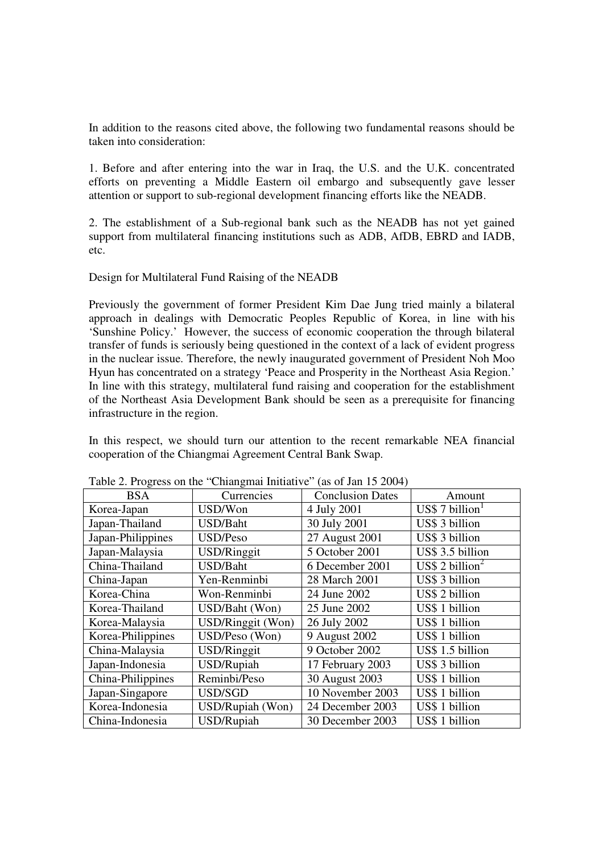In addition to the reasons cited above, the following two fundamental reasons should be taken into consideration:

1. Before and after entering into the war in Iraq, the U.S. and the U.K. concentrated efforts on preventing a Middle Eastern oil embargo and subsequently gave lesser attention or support to sub-regional development financing efforts like the NEADB.

2. The establishment of a Sub-regional bank such as the NEADB has not yet gained support from multilateral financing institutions such as ADB, AfDB, EBRD and IADB, etc.

Design for Multilateral Fund Raising of the NEADB

Previously the government of former President Kim Dae Jung tried mainly a bilateral approach in dealings with Democratic Peoples Republic of Korea, in line with his 'Sunshine Policy.' However, the success of economic cooperation the through bilateral transfer of funds is seriously being questioned in the context of a lack of evident progress in the nuclear issue. Therefore, the newly inaugurated government of President Noh Moo Hyun has concentrated on a strategy 'Peace and Prosperity in the Northeast Asia Region.' In line with this strategy, multilateral fund raising and cooperation for the establishment of the Northeast Asia Development Bank should be seen as a prerequisite for financing infrastructure in the region.

In this respect, we should turn our attention to the recent remarkable NEA financial cooperation of the Chiangmai Agreement Central Bank Swap.

| <b>BSA</b>        | Currencies         | <b>Conclusion Dates</b> | Amount                            |
|-------------------|--------------------|-------------------------|-----------------------------------|
| Korea-Japan       | USD/Won            | 4 July 2001             | $\text{USS } 7 \text{ billion}^1$ |
| Japan-Thailand    | USD/Baht           | 30 July 2001            | US\$ 3 billion                    |
| Japan-Philippines | USD/Peso           | 27 August 2001          | US\$ 3 billion                    |
| Japan-Malaysia    | <b>USD/Ringgit</b> | 5 October 2001          | US\$ 3.5 billion                  |
| China-Thailand    | <b>USD/Baht</b>    | 6 December 2001         | US\$ 2 billion <sup>2</sup>       |
| China-Japan       | Yen-Renminbi       | 28 March 2001           | US\$ 3 billion                    |
| Korea-China       | Won-Renminbi       | 24 June 2002            | US\$ 2 billion                    |
| Korea-Thailand    | USD/Baht (Won)     | 25 June 2002            | US\$ 1 billion                    |
| Korea-Malaysia    | USD/Ringgit (Won)  | 26 July 2002            | US\$ 1 billion                    |
| Korea-Philippines | USD/Peso (Won)     | 9 August 2002           | US\$ 1 billion                    |
| China-Malaysia    | USD/Ringgit        | 9 October 2002          | US\$ 1.5 billion                  |
| Japan-Indonesia   | USD/Rupiah         | 17 February 2003        | US\$ 3 billion                    |
| China-Philippines | Reminbi/Peso       | 30 August 2003          | US\$ 1 billion                    |
| Japan-Singapore   | USD/SGD            | 10 November 2003        | US\$ 1 billion                    |
| Korea-Indonesia   | USD/Rupiah (Won)   | 24 December 2003        | US\$ 1 billion                    |
| China-Indonesia   | USD/Rupiah         | 30 December 2003        | US\$ 1 billion                    |

Table 2. Progress on the "Chiangmai Initiative" (as of Jan 15 2004)